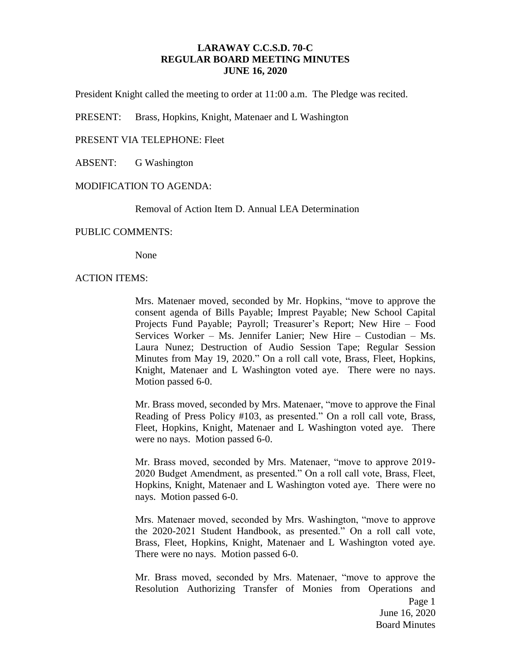# **LARAWAY C.C.S.D. 70-C REGULAR BOARD MEETING MINUTES JUNE 16, 2020**

President Knight called the meeting to order at 11:00 a.m. The Pledge was recited.

PRESENT: Brass, Hopkins, Knight, Matenaer and L Washington

PRESENT VIA TELEPHONE: Fleet

ABSENT: G Washington

## MODIFICATION TO AGENDA:

Removal of Action Item D. Annual LEA Determination

## PUBLIC COMMENTS:

None

#### ACTION ITEMS:

Mrs. Matenaer moved, seconded by Mr. Hopkins, "move to approve the consent agenda of Bills Payable; Imprest Payable; New School Capital Projects Fund Payable; Payroll; Treasurer's Report; New Hire – Food Services Worker – Ms. Jennifer Lanier; New Hire – Custodian – Ms. Laura Nunez; Destruction of Audio Session Tape; Regular Session Minutes from May 19, 2020." On a roll call vote, Brass, Fleet, Hopkins, Knight, Matenaer and L Washington voted aye. There were no nays. Motion passed 6-0.

Mr. Brass moved, seconded by Mrs. Matenaer, "move to approve the Final Reading of Press Policy #103, as presented." On a roll call vote, Brass, Fleet, Hopkins, Knight, Matenaer and L Washington voted aye. There were no nays. Motion passed 6-0.

Mr. Brass moved, seconded by Mrs. Matenaer, "move to approve 2019- 2020 Budget Amendment, as presented." On a roll call vote, Brass, Fleet, Hopkins, Knight, Matenaer and L Washington voted aye. There were no nays. Motion passed 6-0.

Mrs. Matenaer moved, seconded by Mrs. Washington, "move to approve the 2020-2021 Student Handbook, as presented." On a roll call vote, Brass, Fleet, Hopkins, Knight, Matenaer and L Washington voted aye. There were no nays. Motion passed 6-0.

Mr. Brass moved, seconded by Mrs. Matenaer, "move to approve the Resolution Authorizing Transfer of Monies from Operations and

> Page 1 June 16, 2020 Board Minutes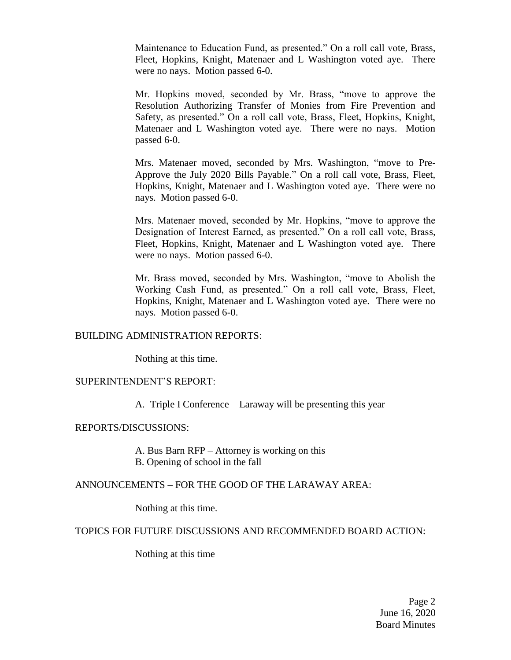Maintenance to Education Fund, as presented." On a roll call vote, Brass, Fleet, Hopkins, Knight, Matenaer and L Washington voted aye. There were no nays. Motion passed 6-0.

Mr. Hopkins moved, seconded by Mr. Brass, "move to approve the Resolution Authorizing Transfer of Monies from Fire Prevention and Safety, as presented." On a roll call vote, Brass, Fleet, Hopkins, Knight, Matenaer and L Washington voted aye. There were no nays. Motion passed 6-0.

Mrs. Matenaer moved, seconded by Mrs. Washington, "move to Pre-Approve the July 2020 Bills Payable." On a roll call vote, Brass, Fleet, Hopkins, Knight, Matenaer and L Washington voted aye. There were no nays. Motion passed 6-0.

Mrs. Matenaer moved, seconded by Mr. Hopkins, "move to approve the Designation of Interest Earned, as presented." On a roll call vote, Brass, Fleet, Hopkins, Knight, Matenaer and L Washington voted aye. There were no nays. Motion passed 6-0.

Mr. Brass moved, seconded by Mrs. Washington, "move to Abolish the Working Cash Fund, as presented." On a roll call vote, Brass, Fleet, Hopkins, Knight, Matenaer and L Washington voted aye. There were no nays. Motion passed 6-0.

## BUILDING ADMINISTRATION REPORTS:

Nothing at this time.

### SUPERINTENDENT'S REPORT:

A. Triple I Conference – Laraway will be presenting this year

#### REPORTS/DISCUSSIONS:

A. Bus Barn RFP – Attorney is working on this B. Opening of school in the fall

### ANNOUNCEMENTS – FOR THE GOOD OF THE LARAWAY AREA:

Nothing at this time.

#### TOPICS FOR FUTURE DISCUSSIONS AND RECOMMENDED BOARD ACTION:

Nothing at this time